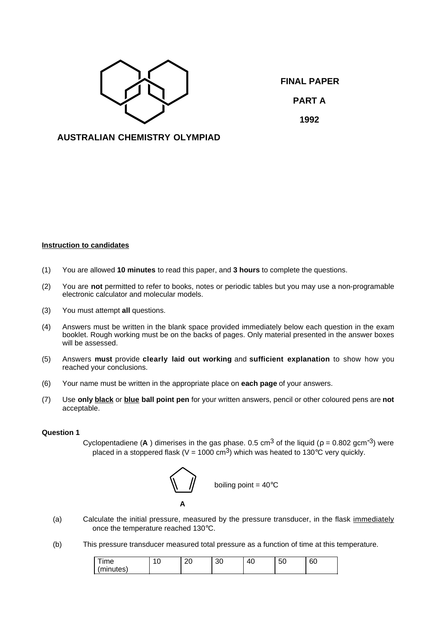

**FINAL PAPER PART A 1992**

## **AUSTRALIAN CHEMISTRY OLYMPIAD**

## **Instruction to candidates**

- (1) You are allowed **10 minutes** to read this paper, and **3 hours** to complete the questions.
- (2) You are **not** permitted to refer to books, notes or periodic tables but you may use a non-programable electronic calculator and molecular models.
- (3) You must attempt **all** questions.
- (4) Answers must be written in the blank space provided immediately below each question in the exam booklet. Rough working must be on the backs of pages. Only material presented in the answer boxes will be assessed.
- (5) Answers **must** provide **clearly laid out working** and **sufficient explanation** to show how you reached your conclusions.
- (6) Your name must be written in the appropriate place on **each page** of your answers.
- (7) Use **only black** or **blue ball point pen** for your written answers, pencil or other coloured pens are **not** acceptable.

## **Question 1**

Cyclopentadiene (**A**) dimerises in the gas phase. 0.5 cm<sup>3</sup> of the liquid ( $\rho = 0.802$  gcm<sup>-3</sup>) were placed in a stoppered flask (V = 1000 cm<sup>3</sup>) which was heated to 130°C very quickly.



- (a) Calculate the initial pressure, measured by the pressure transducer, in the flask immediately once the temperature reached 130°C.
- (b) This pressure transducer measured total pressure as a function of time at this temperature.

| $-$<br><b>Ime</b> | ◡ | ററ<br>∠∪ | oc<br>υc | $\overline{\phantom{a}}$<br>$\mathbf{u}$<br>т. | $\sim$<br>5U | $\sim$<br>00 |
|-------------------|---|----------|----------|------------------------------------------------|--------------|--------------|
| (minutes)         |   |          |          |                                                |              |              |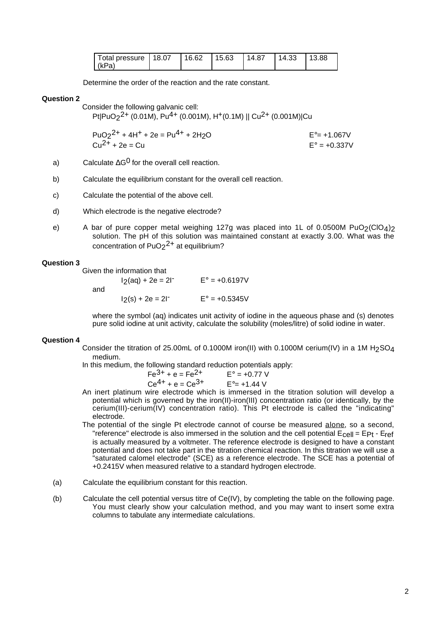| Total pressure   18.07 |  | 116.62 115.63 114.87 114.33 113.88 |  |  |
|------------------------|--|------------------------------------|--|--|
| (kPa)                  |  |                                    |  |  |

Determine the order of the reaction and the rate constant.

### **Question 2**

Consider the following galvanic cell:

Pt|PuO<sub>2</sub><sup>2+</sup> (0.01M), Pu<sup>4+</sup> (0.001M), H<sup>+</sup>(0.1M) || Cu<sup>2+</sup> (0.001M)|Cu

 $PuO<sub>2</sub><sup>2+</sup> + 4H<sup>+</sup> + 2e = Pu<sup>4+</sup> + 2H<sub>2</sub>O$   $E<sup>°</sup> = +1.067V$  $Cu^{2+} + 2e = Cu$  E° = +0.337V

- a) Calculate  $\Delta G^0$  for the overall cell reaction.
- b) Calculate the equilibrium constant for the overall cell reaction.
- c) Calculate the potential of the above cell.
- d) Which electrode is the negative electrode?
- e) A bar of pure copper metal weighing 127g was placed into 1L of 0.0500M PuO2(ClO4)2 solution. The pH of this solution was maintained constant at exactly 3.00. What was the concentration of  $PuO<sub>2</sub><sup>2+</sup>$  at equilibrium?

## **Question 3**

Given the information that

| and | $12(aq) + 2e = 2l^{-}$ | $E^{\circ} = +0.6197V$ |  |  |
|-----|------------------------|------------------------|--|--|
|     | $12(s) + 2e = 21^{-1}$ | $E^{\circ} = +0.5345V$ |  |  |

where the symbol (aq) indicates unit activity of iodine in the aqueous phase and (s) denotes pure solid iodine at unit activity, calculate the solubility (moles/litre) of solid iodine in water.

#### **Question 4**

Consider the titration of 25.00mL of 0.1000M iron(II) with 0.1000M cerium(IV) in a 1M H<sub>2</sub>SO<sub>4</sub> medium.

In this medium, the following standard reduction potentials apply:

 $Fe^{3+} + e = Fe^{2+}$   $E^{\circ} = +0.77$  V  $Ce^{4+} + e = Ce^{3+}$   $E^{\circ} = +1.44$  V

- An inert platinum wire electrode which is immersed in the titration solution will develop a potential which is governed by the iron(II)-iron(III) concentration ratio (or identically, by the cerium(III)-cerium(IV) concentration ratio). This Pt electrode is called the "indicating" electrode.
- The potential of the single Pt electrode cannot of course be measured alone, so a second, "reference" electrode is also immersed in the solution and the cell potential  $E_{cell} = EPI - E_{ref}$ is actually measured by a voltmeter. The reference electrode is designed to have a constant potential and does not take part in the titration chemical reaction. In this titration we will use a "saturated calomel electrode" (SCE) as a reference electrode. The SCE has a potential of +0.2415V when measured relative to a standard hydrogen electrode.
- (a) Calculate the equilibrium constant for this reaction.
- (b) Calculate the cell potential versus titre of Ce(IV), by completing the table on the following page. You must clearly show your calculation method, and you may want to insert some extra columns to tabulate any intermediate calculations.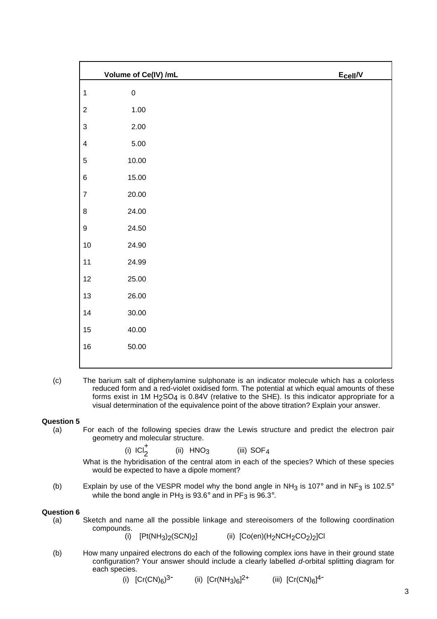|                         | Volume of Ce(IV) /mL | $E_{cell}/V$ |
|-------------------------|----------------------|--------------|
| $\mathbf{1}$            | ${\bf 0}$            |              |
| $\overline{c}$          | 1.00                 |              |
| $\mathfrak{S}$          | 2.00                 |              |
| $\overline{\mathbf{4}}$ | 5.00                 |              |
| 5                       | 10.00                |              |
| $\,6$                   | 15.00                |              |
| $\boldsymbol{7}$        | 20.00                |              |
| $\bf 8$                 | 24.00                |              |
| $\boldsymbol{9}$        | 24.50                |              |
| $10\,$                  | 24.90                |              |
| 11                      | 24.99                |              |
| 12                      | 25.00                |              |
| $13$                    | 26.00                |              |
| $14$                    | 30.00                |              |
| 15                      | 40.00                |              |
| $16\,$                  | 50.00                |              |
|                         |                      |              |

(c) The barium salt of diphenylamine sulphonate is an indicator molecule which has a colorless reduced form and a red-violet oxidised form. The potential at which equal amounts of these forms exist in 1M H<sub>2</sub>SO<sub>4</sub> is 0.84V (relative to the SHE). Is this indicator appropriate for a visual determination of the equivalence point of the above titration? Explain your answer.

## **Question 5**

- For each of the following species draw the Lewis structure and predict the electron pair geometry and molecular structure.
	- $(i)$  ICI $_2^+$ (ii)  $HNO<sub>3</sub>$  (iii)  $SOF<sub>4</sub>$
	- What is the hybridisation of the central atom in each of the species? Which of these species would be expected to have a dipole moment?
- (b) Explain by use of the VESPR model why the bond angle in NH<sub>3</sub> is 107° and in NF<sub>3</sub> is 102.5° while the bond angle in PH<sub>3</sub> is 93.6 $^{\circ}$  and in PF<sub>3</sub> is 96.3 $^{\circ}$ .

## **Question 6**

- (a) Sketch and name all the possible linkage and stereoisomers of the following coordination compounds.
	-
- (i)  $[Pt(NH<sub>3</sub>)<sub>2</sub>(SCN)<sub>2</sub>]$  (ii)  $[Co(en)(H<sub>2</sub>NCH<sub>2</sub>CO<sub>2</sub>)<sub>2</sub>]Cl$
- (b) How many unpaired electrons do each of the following complex ions have in their ground state configuration? Your answer should include a clearly labelled d-orbital splitting diagram for each species.
	- (i)  $[Cr(CN)_6)^3$  (ii)  $[Cr(NH_3)_6]^2$  (iii)  $[Cr(CN)_6]^4$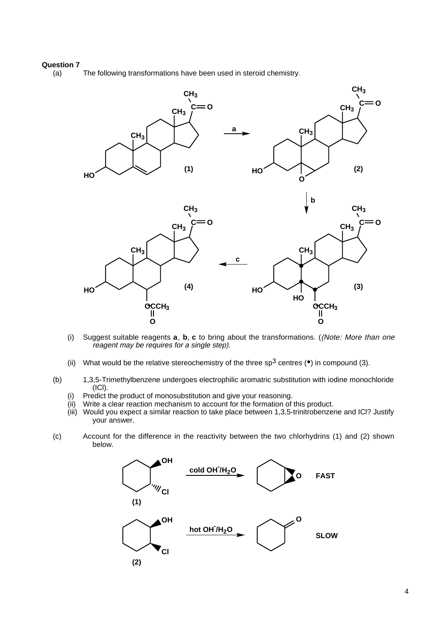# **Question 7**

The following transformations have been used in steroid chemistry.



- (i) Suggest suitable reagents **a**, **b**, **c** to bring about the transformations. ((Note: More than one reagent may be requires for a single step).
- (ii) What would be the relative stereochemistry of the three  $sp^3$  centres ( $\bullet$ ) in compound (3).
- (b) 1,3,5-Trimethylbenzene undergoes electrophilic aromatric substitution with iodine monochloride (ICl).
	- (i) Predict the product of monosubstitution and give your reasoning.
	- (ii) Write a clear reaction mechanism to account for the formation of this product.
	- (iii) Would you expect a similar reaction to take place between 1,3,5-trinitrobenzene and ICl? Justify your answer.
- (c) Account for the difference in the reactivity between the two chlorhydrins (1) and (2) shown below.